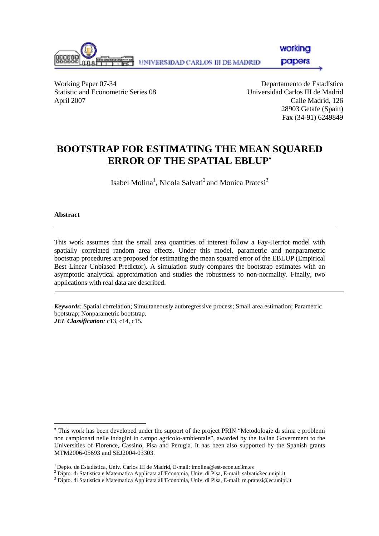

workina

**papers** 

Working Paper 07-34 Departamento de Estadística Statistic and Econometric Series 08 Universidad Carlos III de Madrid April 2007 Calle Madrid, 126

 28903 Getafe (Spain) Fax (34-91) 6249849

# **BOOTSTRAP FOR ESTIMATING THE MEAN SQUARED ERROR OF THE SPATIAL EBLUP**<sup>∗</sup>

Isabel Molina<sup>1</sup>, Nicola Salvati<sup>2</sup> and Monica Pratesi<sup>3</sup>

#### **Abstract**

l

This work assumes that the small area quantities of interest follow a Fay-Herriot model with spatially correlated random area effects. Under this model, parametric and nonparametric bootstrap procedures are proposed for estimating the mean squared error of the EBLUP (Empirical Best Linear Unbiased Predictor). A simulation study compares the bootstrap estimates with an asymptotic analytical approximation and studies the robustness to non-normality. Finally, two applications with real data are described.

*Keywords:* Spatial correlation; Simultaneously autoregressive process; Small area estimation; Parametric bootstrap; Nonparametric bootstrap. *JEL Classification:* c13, c14, c15.

∗ This work has been developed under the support of the project PRIN "Metodologie di stima e problemi non campionari nelle indagini in campo agricolo-ambientale", awarded by the Italian Government to the Universities of Florence, Cassino, Pisa and Perugia. It has been also supported by the Spanish grants MTM2006-05693 and SEJ2004-03303.

 $1$  Depto. de Estadística, Univ. Carlos III de Madrid, E-mail: imolina@est-econ.uc3m.es

Dipto. di Statistica e Matematica Applicata all'Economia, Univ. di Pisa, E-mail: salvati@ec.unipi.it <sup>3</sup>

<sup>&</sup>lt;sup>3</sup> Dipto. di Statistica e Matematica Applicata all'Economia, Univ. di Pisa, E-mail: m.pratesi@ec.unipi.it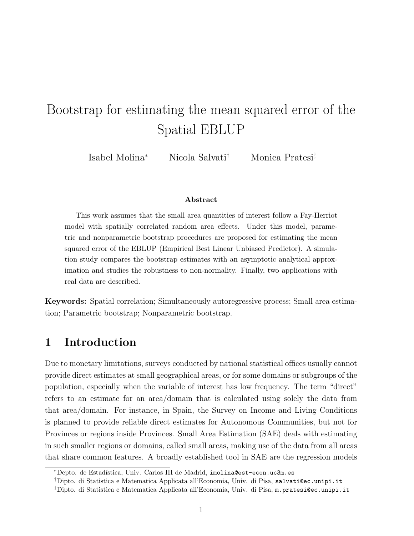# Bootstrap for estimating the mean squared error of the Spatial EBLUP

Isabel Molina<sup>∗</sup> Nicola Salvati† Monica Pratesi‡

#### Abstract

This work assumes that the small area quantities of interest follow a Fay-Herriot model with spatially correlated random area effects. Under this model, parametric and nonparametric bootstrap procedures are proposed for estimating the mean squared error of the EBLUP (Empirical Best Linear Unbiased Predictor). A simulation study compares the bootstrap estimates with an asymptotic analytical approximation and studies the robustness to non-normality. Finally, two applications with real data are described.

Keywords: Spatial correlation; Simultaneously autoregressive process; Small area estimation; Parametric bootstrap; Nonparametric bootstrap.

# 1 Introduction

Due to monetary limitations, surveys conducted by national statistical offices usually cannot provide direct estimates at small geographical areas, or for some domains or subgroups of the population, especially when the variable of interest has low frequency. The term "direct" refers to an estimate for an area/domain that is calculated using solely the data from that area/domain. For instance, in Spain, the Survey on Income and Living Conditions is planned to provide reliable direct estimates for Autonomous Communities, but not for Provinces or regions inside Provinces. Small Area Estimation (SAE) deals with estimating in such smaller regions or domains, called small areas, making use of the data from all areas that share common features. A broadly established tool in SAE are the regression models

<sup>∗</sup>Depto. de Estad´ıstica, Univ. Carlos III de Madrid, imolina@est-econ.uc3m.es

<sup>†</sup>Dipto. di Statistica e Matematica Applicata all'Economia, Univ. di Pisa, salvati@ec.unipi.it

<sup>‡</sup>Dipto. di Statistica e Matematica Applicata all'Economia, Univ. di Pisa, m.pratesi@ec.unipi.it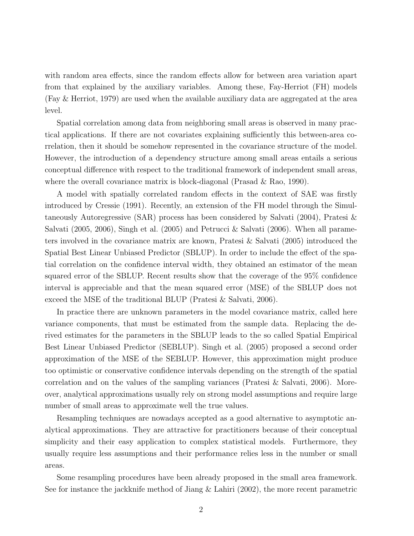with random area effects, since the random effects allow for between area variation apart from that explained by the auxiliary variables. Among these, Fay-Herriot (FH) models (Fay & Herriot, 1979) are used when the available auxiliary data are aggregated at the area level.

Spatial correlation among data from neighboring small areas is observed in many practical applications. If there are not covariates explaining sufficiently this between-area correlation, then it should be somehow represented in the covariance structure of the model. However, the introduction of a dependency structure among small areas entails a serious conceptual difference with respect to the traditional framework of independent small areas, where the overall covariance matrix is block-diagonal (Prasad & Rao, 1990).

A model with spatially correlated random effects in the context of SAE was firstly introduced by Cressie (1991). Recently, an extension of the FH model through the Simultaneously Autoregressive (SAR) process has been considered by Salvati (2004), Pratesi & Salvati (2005, 2006), Singh et al. (2005) and Petrucci & Salvati (2006). When all parameters involved in the covariance matrix are known, Pratesi & Salvati (2005) introduced the Spatial Best Linear Unbiased Predictor (SBLUP). In order to include the effect of the spatial correlation on the confidence interval width, they obtained an estimator of the mean squared error of the SBLUP. Recent results show that the coverage of the 95% confidence interval is appreciable and that the mean squared error (MSE) of the SBLUP does not exceed the MSE of the traditional BLUP (Pratesi & Salvati, 2006).

In practice there are unknown parameters in the model covariance matrix, called here variance components, that must be estimated from the sample data. Replacing the derived estimates for the parameters in the SBLUP leads to the so called Spatial Empirical Best Linear Unbiased Predictor (SEBLUP). Singh et al. (2005) proposed a second order approximation of the MSE of the SEBLUP. However, this approximation might produce too optimistic or conservative confidence intervals depending on the strength of the spatial correlation and on the values of the sampling variances (Pratesi & Salvati, 2006). Moreover, analytical approximations usually rely on strong model assumptions and require large number of small areas to approximate well the true values.

Resampling techniques are nowadays accepted as a good alternative to asymptotic analytical approximations. They are attractive for practitioners because of their conceptual simplicity and their easy application to complex statistical models. Furthermore, they usually require less assumptions and their performance relies less in the number or small areas.

Some resampling procedures have been already proposed in the small area framework. See for instance the jackknife method of Jiang & Lahiri (2002), the more recent parametric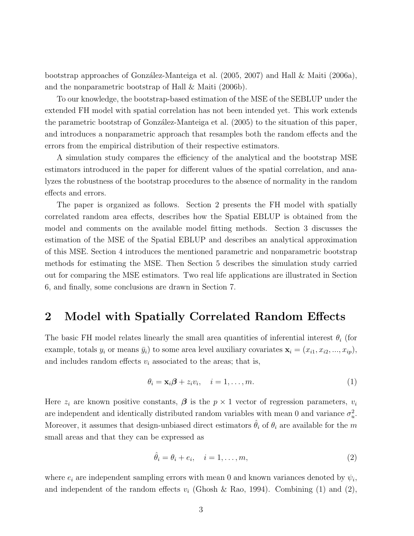bootstrap approaches of González-Manteiga et al. (2005, 2007) and Hall  $\&$  Maiti (2006a), and the nonparametric bootstrap of Hall & Maiti (2006b).

To our knowledge, the bootstrap-based estimation of the MSE of the SEBLUP under the extended FH model with spatial correlation has not been intended yet. This work extends the parametric bootstrap of González-Manteiga et al. (2005) to the situation of this paper, and introduces a nonparametric approach that resamples both the random effects and the errors from the empirical distribution of their respective estimators.

A simulation study compares the efficiency of the analytical and the bootstrap MSE estimators introduced in the paper for different values of the spatial correlation, and analyzes the robustness of the bootstrap procedures to the absence of normality in the random effects and errors.

The paper is organized as follows. Section 2 presents the FH model with spatially correlated random area effects, describes how the Spatial EBLUP is obtained from the model and comments on the available model fitting methods. Section 3 discusses the estimation of the MSE of the Spatial EBLUP and describes an analytical approximation of this MSE. Section 4 introduces the mentioned parametric and nonparametric bootstrap methods for estimating the MSE. Then Section 5 describes the simulation study carried out for comparing the MSE estimators. Two real life applications are illustrated in Section 6, and finally, some conclusions are drawn in Section 7.

# 2 Model with Spatially Correlated Random Effects

The basic FH model relates linearly the small area quantities of inferential interest  $\theta_i$  (for example, totals  $y_i$  or means  $\bar{y}_i$ ) to some area level auxiliary covariates  $\mathbf{x}_i = (x_{i1}, x_{i2}, ..., x_{ip}),$ and includes random effects  $v_i$  associated to the areas; that is,

$$
\theta_i = \mathbf{x}_i \boldsymbol{\beta} + z_i v_i, \quad i = 1, \dots, m. \tag{1}
$$

Here  $z_i$  are known positive constants,  $\beta$  is the  $p \times 1$  vector of regression parameters,  $v_i$ are independent and identically distributed random variables with mean 0 and variance  $\sigma_u^2$ . Moreover, it assumes that design-unbiased direct estimators  $\hat{\theta}_i$  of  $\theta_i$  are available for the m small areas and that they can be expressed as

$$
\hat{\theta}_i = \theta_i + e_i, \quad i = 1, \dots, m,
$$
\n(2)

where  $e_i$  are independent sampling errors with mean 0 and known variances denoted by  $\psi_i$ , and independent of the random effects  $v_i$  (Ghosh & Rao, 1994). Combining (1) and (2),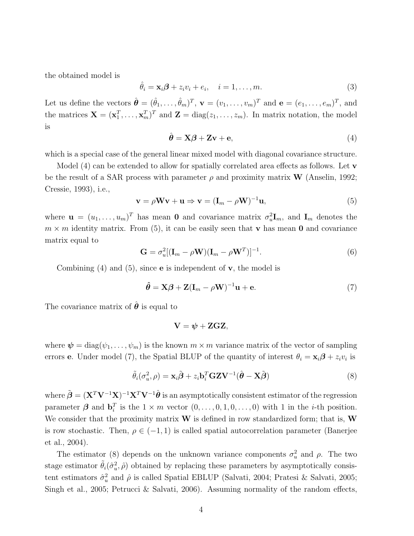the obtained model is

$$
\hat{\theta}_i = \mathbf{x}_i \boldsymbol{\beta} + z_i v_i + e_i, \quad i = 1, \dots, m. \tag{3}
$$

Let us define the vectors  $\hat{\boldsymbol{\theta}} = (\hat{\theta}_1, \dots, \hat{\theta}_m)^T$ ,  $\mathbf{v} = (v_1, \dots, v_m)^T$  and  $\mathbf{e} = (e_1, \dots, e_m)^T$ , and the matrices  $\mathbf{X} = (\mathbf{x}_1^T, \dots, \mathbf{x}_m^T)^T$  and  $\mathbf{Z} = \text{diag}(z_1, \dots, z_m)$ . In matrix notation, the model is

$$
\hat{\boldsymbol{\theta}} = \mathbf{X}\boldsymbol{\beta} + \mathbf{Z}\mathbf{v} + \mathbf{e},\tag{4}
$$

which is a special case of the general linear mixed model with diagonal covariance structure.

Model  $(4)$  can be extended to allow for spatially correlated area effects as follows. Let **v** be the result of a SAR process with parameter  $\rho$  and proximity matrix **W** (Anselin, 1992; Cressie, 1993), i.e.,

$$
\mathbf{v} = \rho \mathbf{W} \mathbf{v} + \mathbf{u} \Rightarrow \mathbf{v} = (\mathbf{I}_m - \rho \mathbf{W})^{-1} \mathbf{u},\tag{5}
$$

where  $\mathbf{u} = (u_1, \dots, u_m)^T$  has mean **0** and covariance matrix  $\sigma_u^2 \mathbf{I}_m$ , and  $\mathbf{I}_m$  denotes the  $m \times m$  identity matrix. From (5), it can be easily seen that **v** has mean **0** and covariance matrix equal to

$$
\mathbf{G} = \sigma_u^2 [(\mathbf{I}_m - \rho \mathbf{W})(\mathbf{I}_m - \rho \mathbf{W}^T)]^{-1}.
$$
 (6)

Combining  $(4)$  and  $(5)$ , since **e** is independent of **v**, the model is

$$
\hat{\theta} = \mathbf{X}\boldsymbol{\beta} + \mathbf{Z}(\mathbf{I}_m - \rho \mathbf{W})^{-1}\mathbf{u} + \mathbf{e}.
$$
\n(7)

The covariance matrix of  $\hat{\theta}$  is equal to

$$
\mathbf{V}=\boldsymbol{\psi}+\mathbf{Z}\mathbf{G}\mathbf{Z},
$$

where  $\psi = \text{diag}(\psi_1, \dots, \psi_m)$  is the known  $m \times m$  variance matrix of the vector of sampling errors **e**. Under model (7), the Spatial BLUP of the quantity of interest  $\theta_i = \mathbf{x}_i \boldsymbol{\beta} + z_i v_i$  is

$$
\tilde{\theta}_i(\sigma_u^2, \rho) = \mathbf{x}_i \tilde{\boldsymbol{\beta}} + z_i \mathbf{b}_i^T \mathbf{G} \mathbf{Z} \mathbf{V}^{-1} (\hat{\boldsymbol{\theta}} - \mathbf{X} \tilde{\boldsymbol{\beta}})
$$
(8)

where  $\tilde{\boldsymbol{\beta}} = (\mathbf{X}^T \mathbf{V}^{-1} \mathbf{X})^{-1} \mathbf{X}^T \mathbf{V}^{-1} \hat{\boldsymbol{\theta}}$  is an asymptotically consistent estimator of the regression parameter  $\beta$  and  $\mathbf{b}_i^T$  is the  $1 \times m$  vector  $(0, \ldots, 0, 1, 0, \ldots, 0)$  with 1 in the *i*-th position. We consider that the proximity matrix  $W$  is defined in row standardized form; that is,  $W$ is row stochastic. Then,  $\rho \in (-1,1)$  is called spatial autocorrelation parameter (Banerjee et al., 2004).

The estimator (8) depends on the unknown variance components  $\sigma_u^2$  and  $\rho$ . The two stage estimator  $\tilde{\theta}_i(\hat{\sigma}_u^2, \hat{\rho})$  obtained by replacing these parameters by asymptotically consistent estimators  $\hat{\sigma}_u^2$  and  $\hat{\rho}$  is called Spatial EBLUP (Salvati, 2004; Pratesi & Salvati, 2005; Singh et al., 2005; Petrucci & Salvati, 2006). Assuming normality of the random effects,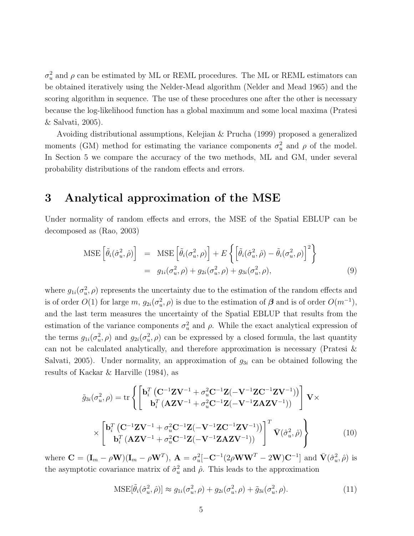$\sigma_u^2$  and  $\rho$  can be estimated by ML or REML procedures. The ML or REML estimators can be obtained iteratively using the Nelder-Mead algorithm (Nelder and Mead 1965) and the scoring algorithm in sequence. The use of these procedures one after the other is necessary because the log-likelihood function has a global maximum and some local maxima (Pratesi & Salvati, 2005).

Avoiding distributional assumptions, Kelejian & Prucha (1999) proposed a generalized moments (GM) method for estimating the variance components  $\sigma_u^2$  and  $\rho$  of the model. In Section 5 we compare the accuracy of the two methods, ML and GM, under several probability distributions of the random effects and errors.

# 3 Analytical approximation of the MSE

Under normality of random effects and errors, the MSE of the Spatial EBLUP can be decomposed as (Rao, 2003)

$$
\text{MSE}\left[\tilde{\theta}_{i}(\hat{\sigma}_{u}^{2},\hat{\rho})\right] = \text{MSE}\left[\tilde{\theta}_{i}(\sigma_{u}^{2},\rho)\right] + E\left\{\left[\tilde{\theta}_{i}(\hat{\sigma}_{u}^{2},\hat{\rho}) - \tilde{\theta}_{i}(\sigma_{u}^{2},\rho)\right]^{2}\right\}
$$

$$
= g_{1i}(\sigma_{u}^{2},\rho) + g_{2i}(\sigma_{u}^{2},\rho) + g_{3i}(\sigma_{u}^{2},\rho), \tag{9}
$$

where  $g_{1i}(\sigma_u^2, \rho)$  represents the uncertainty due to the estimation of the random effects and is of order  $O(1)$  for large  $m$ ,  $g_{2i}(\sigma_u^2, \rho)$  is due to the estimation of  $\boldsymbol{\beta}$  and is of order  $O(m^{-1})$ , and the last term measures the uncertainty of the Spatial EBLUP that results from the estimation of the variance components  $\sigma_u^2$  and  $\rho$ . While the exact analytical expression of the terms  $g_{1i}(\sigma_u^2, \rho)$  and  $g_{2i}(\sigma_u^2, \rho)$  can be expressed by a closed formula, the last quantity can not be calculated analytically, and therefore approximation is necessary (Pratesi & Salvati, 2005). Under normality, an approximation of  $g_{3i}$  can be obtained following the results of Kackar & Harville (1984), as

$$
\tilde{g}_{3i}(\sigma_u^2, \rho) = \text{tr}\left\{ \begin{bmatrix} \mathbf{b}_i^T \left( \mathbf{C}^{-1} \mathbf{Z} \mathbf{V}^{-1} + \sigma_u^2 \mathbf{C}^{-1} \mathbf{Z} (-\mathbf{V}^{-1} \mathbf{Z} \mathbf{C}^{-1} \mathbf{Z} \mathbf{V}^{-1}) \right) \\ \mathbf{b}_i^T \left( \mathbf{A} \mathbf{Z} \mathbf{V}^{-1} + \sigma_u^2 \mathbf{C}^{-1} \mathbf{Z} (-\mathbf{V}^{-1} \mathbf{Z} \mathbf{A} \mathbf{Z} \mathbf{V}^{-1}) \right) \\ \times \left[ \mathbf{b}_i^T \left( \mathbf{C}^{-1} \mathbf{Z} \mathbf{V}^{-1} + \sigma_u^2 \mathbf{C}^{-1} \mathbf{Z} (-\mathbf{V}^{-1} \mathbf{Z} \mathbf{C}^{-1} \mathbf{Z} \mathbf{V}^{-1}) \right) \right]^T \bar{\mathbf{V}} (\hat{\sigma}_u^2, \hat{\rho}) \right\} \tag{10}
$$

where  $\mathbf{C} = (\mathbf{I}_m - \rho \mathbf{W})(\mathbf{I}_m - \rho \mathbf{W}^T)$ ,  $\mathbf{A} = \sigma_u^2[-\mathbf{C}^{-1}(2\rho \mathbf{W}\mathbf{W}^T - 2\mathbf{W})\mathbf{C}^{-1}]$  and  $\bar{\mathbf{V}}(\hat{\sigma}_u^2, \hat{\rho})$  is the asymptotic covariance matrix of  $\hat{\sigma}_u^2$  and  $\hat{\rho}$ . This leads to the approximation

$$
\text{MSE}[\tilde{\theta}_i(\hat{\sigma}_u^2, \hat{\rho})] \approx g_{1i}(\sigma_u^2, \rho) + g_{2i}(\sigma_u^2, \rho) + \tilde{g}_{3i}(\sigma_u^2, \rho). \tag{11}
$$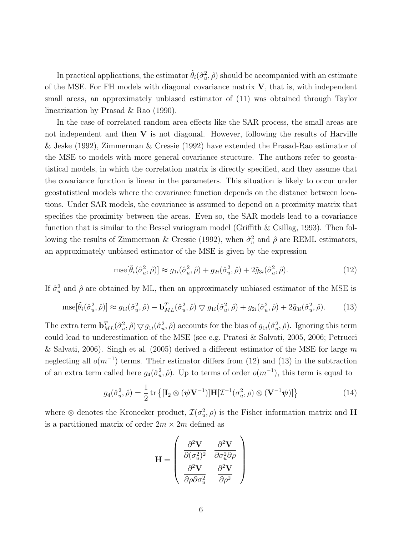In practical applications, the estimator  $\tilde{\theta}_i(\hat{\sigma}_u^2, \hat{\rho})$  should be accompanied with an estimate of the MSE. For FH models with diagonal covariance matrix  $V$ , that is, with independent small areas, an approximately unbiased estimator of (11) was obtained through Taylor linearization by Prasad & Rao (1990).

In the case of correlated random area effects like the SAR process, the small areas are not independent and then  $V$  is not diagonal. However, following the results of Harville & Jeske (1992), Zimmerman & Cressie (1992) have extended the Prasad-Rao estimator of the MSE to models with more general covariance structure. The authors refer to geostatistical models, in which the correlation matrix is directly specified, and they assume that the covariance function is linear in the parameters. This situation is likely to occur under geostatistical models where the covariance function depends on the distance between locations. Under SAR models, the covariance is assumed to depend on a proximity matrix that specifies the proximity between the areas. Even so, the SAR models lead to a covariance function that is similar to the Bessel variogram model (Griffith & Csillag, 1993). Then following the results of Zimmerman & Cressie (1992), when  $\hat{\sigma}_u^2$  and  $\hat{\rho}$  are REML estimators, an approximately unbiased estimator of the MSE is given by the expression

$$
\text{mse}[\tilde{\theta}_i(\hat{\sigma}_u^2, \hat{\rho})] \approx g_{1i}(\hat{\sigma}_u^2, \hat{\rho}) + g_{2i}(\hat{\sigma}_u^2, \hat{\rho}) + 2\tilde{g}_{3i}(\hat{\sigma}_u^2, \hat{\rho}).\tag{12}
$$

If  $\hat{\sigma}_u^2$  and  $\hat{\rho}$  are obtained by ML, then an approximately unbiased estimator of the MSE is

$$
\text{mse}[\tilde{\theta}_i(\hat{\sigma}_u^2, \hat{\rho})] \approx g_{1i}(\hat{\sigma}_u^2, \hat{\rho}) - \mathbf{b}_{ML}^T(\hat{\sigma}_u^2, \hat{\rho}) \nabla g_{1i}(\hat{\sigma}_u^2, \hat{\rho}) + g_{2i}(\hat{\sigma}_u^2, \hat{\rho}) + 2\tilde{g}_{3i}(\hat{\sigma}_u^2, \hat{\rho}). \tag{13}
$$

The extra term  $\mathbf{b}_{ML}^T(\hat{\sigma}_u^2, \hat{\rho}) \nabla g_{1i}(\hat{\sigma}_u^2, \hat{\rho})$  accounts for the bias of  $g_{1i}(\hat{\sigma}_u^2, \hat{\rho})$ . Ignoring this term could lead to underestimation of the MSE (see e.g. Pratesi & Salvati, 2005, 2006; Petrucci & Salvati, 2006). Singh et al. (2005) derived a different estimator of the MSE for large m neglecting all  $o(m^{-1})$  terms. Their estimator differs from (12) and (13) in the subtraction of an extra term called here  $g_4(\hat{\sigma}_u^2, \hat{\rho})$ . Up to terms of order  $o(m^{-1})$ , this term is equal to

$$
g_4(\hat{\sigma}_u^2, \hat{\rho}) = \frac{1}{2} \operatorname{tr} \left\{ [\mathbf{I}_2 \otimes (\boldsymbol{\psi} \mathbf{V}^{-1})] \mathbf{H} [\mathcal{I}^{-1}(\sigma_u^2, \rho) \otimes (\mathbf{V}^{-1} \boldsymbol{\psi})] \right\}
$$
(14)

where  $\otimes$  denotes the Kronecker product,  $\mathcal{I}(\sigma_u^2, \rho)$  is the Fisher information matrix and H is a partitioned matrix of order  $2m \times 2m$  defined as

$$
\mathbf{H} = \begin{pmatrix} \frac{\partial^2 \mathbf{V}}{\partial (\sigma_u^2)^2} & \frac{\partial^2 \mathbf{V}}{\partial \sigma_u^2 \partial \rho} \\ \frac{\partial^2 \mathbf{V}}{\partial \rho \partial \sigma_u^2} & \frac{\partial^2 \mathbf{V}}{\partial \rho^2} \end{pmatrix}
$$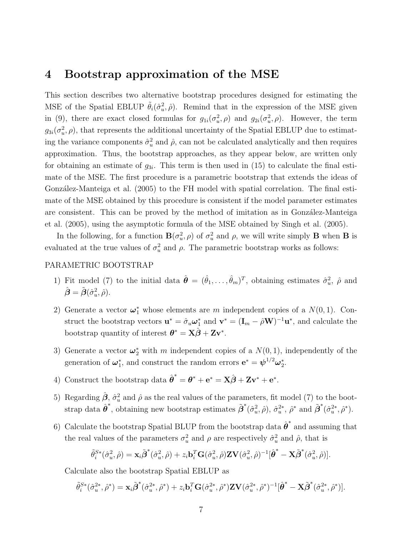### 4 Bootstrap approximation of the MSE

This section describes two alternative bootstrap procedures designed for estimating the MSE of the Spatial EBLUP  $\tilde{\theta}_i(\hat{\sigma}_u^2, \hat{\rho})$ . Remind that in the expression of the MSE given in (9), there are exact closed formulas for  $g_{1i}(\sigma_u^2, \rho)$  and  $g_{2i}(\sigma_u^2, \rho)$ . However, the term  $g_{3i}(\sigma_u^2, \rho)$ , that represents the additional uncertainty of the Spatial EBLUP due to estimating the variance components  $\hat{\sigma}_u^2$  and  $\hat{\rho}$ , can not be calculated analytically and then requires approximation. Thus, the bootstrap approaches, as they appear below, are written only for obtaining an estimate of  $g_{3i}$ . This term is then used in (15) to calculate the final estimate of the MSE. The first procedure is a parametric bootstrap that extends the ideas of González-Manteiga et al. (2005) to the FH model with spatial correlation. The final estimate of the MSE obtained by this procedure is consistent if the model parameter estimates are consistent. This can be proved by the method of imitation as in González-Manteiga et al. (2005), using the asymptotic formula of the MSE obtained by Singh et al. (2005).

In the following, for a function  $\mathbf{B}(\sigma_u^2, \rho)$  of  $\sigma_u^2$  and  $\rho$ , we will write simply **B** when **B** is evaluated at the true values of  $\sigma_u^2$  and  $\rho$ . The parametric bootstrap works as follows:

#### PARAMETRIC BOOTSTRAP

- 1) Fit model (7) to the initial data  $\hat{\theta} = (\hat{\theta}_1, \dots, \hat{\theta}_m)^T$ , obtaining estimates  $\hat{\sigma}_u^2$ ,  $\hat{\rho}$  and  $\hat{\boldsymbol{\beta}} = \tilde{\boldsymbol{\beta}}(\hat{\sigma}^2_u,\hat{\rho}).$
- 2) Generate a vector  $\boldsymbol{\omega}_1^*$  whose elements are m independent copies of a  $N(0, 1)$ . Construct the bootstrap vectors  $\mathbf{u}^* = \hat{\sigma}_u \boldsymbol{\omega}_1^*$  and  $\mathbf{v}^* = (\mathbf{I}_m - \hat{\rho} \mathbf{W})^{-1} \mathbf{u}^*$ , and calculate the bootstrap quantity of interest  $\boldsymbol{\theta}^* = \mathbf{X}\hat{\boldsymbol{\beta}} + \mathbf{Z}\mathbf{v}^*$ .
- 3) Generate a vector  $\boldsymbol{\omega}_2^*$  with m independent copies of a  $N(0, 1)$ , independently of the generation of  $\boldsymbol{\omega}_1^*$ , and construct the random errors  $\mathbf{e}^* = \boldsymbol{\psi}^{1/2} \boldsymbol{\omega}_2^*$ .
- 4) Construct the bootstrap data  $\hat{\boldsymbol{\theta}}^* = \boldsymbol{\theta}^* + \mathbf{e}^* = \mathbf{X}\hat{\boldsymbol{\beta}} + \mathbf{Z}\mathbf{v}^* + \mathbf{e}^*$ .
- 5) Regarding  $\hat{\beta}$ ,  $\hat{\sigma}_u^2$  and  $\hat{\rho}$  as the real values of the parameters, fit model (7) to the bootstrap data  $\hat{\boldsymbol{\theta}}^*$ , obtaining new bootstrap estimates  $\tilde{\boldsymbol{\beta}}^*(\hat{\sigma}_u^2, \hat{\rho}), \hat{\sigma}_u^{2*}, \hat{\rho}^*$  and  $\tilde{\boldsymbol{\beta}}^*(\hat{\sigma}_u^{2*}, \hat{\rho}^*)$ .
- 6) Calculate the bootstrap Spatial BLUP from the bootstrap data  $\hat{\boldsymbol{\theta}}^*$  and assuming that the real values of the parameters  $\sigma_u^2$  and  $\rho$  are respectively  $\hat{\sigma}_u^2$  and  $\hat{\rho}$ , that is

$$
\tilde{\theta}_i^{S*}(\hat{\sigma}_u^2, \hat{\rho}) = \mathbf{x}_i \tilde{\boldsymbol{\beta}}^*(\hat{\sigma}_u^2, \hat{\rho}) + z_i \mathbf{b}_i^T \mathbf{G}(\hat{\sigma}_u^2, \hat{\rho}) \mathbf{Z} \mathbf{V}(\hat{\sigma}_u^2, \hat{\rho})^{-1} [\hat{\boldsymbol{\theta}}^* - \mathbf{X} \tilde{\boldsymbol{\beta}}^*(\hat{\sigma}_u^2, \hat{\rho})].
$$

Calculate also the bootstrap Spatial EBLUP as

$$
\tilde{\theta}_i^{S*}(\hat{\sigma}_u^{2*}, \hat{\rho}^*) = \mathbf{x}_i \tilde{\boldsymbol{\beta}}^*(\hat{\sigma}_u^{2*}, \hat{\rho}^*) + z_i \mathbf{b}_i^T \mathbf{G}(\hat{\sigma}_u^{2*}, \hat{\rho}^*) \mathbf{Z} \mathbf{V}(\hat{\sigma}_u^{2*}, \hat{\rho}^*)^{-1} [\hat{\boldsymbol{\theta}}^* - \mathbf{X} \tilde{\boldsymbol{\beta}}^*(\hat{\sigma}_u^{2*}, \hat{\rho}^*)].
$$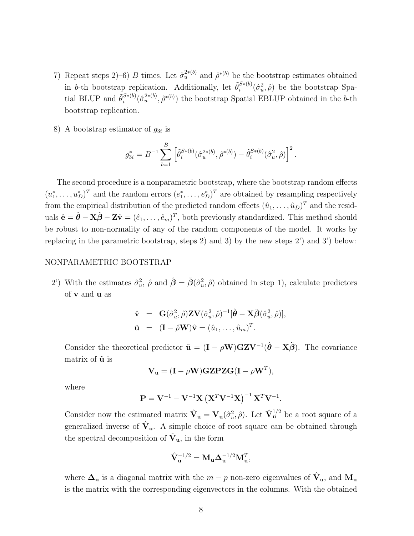- 7) Repeat steps 2–6) B times. Let  $\hat{\sigma}_u^{2*(b)}$  and  $\hat{\rho}^{*(b)}$  be the bootstrap estimates obtained in *b*-th bootstrap replication. Additionally, let  $\tilde{\theta}_i^{S*(b)}$  $i^{S*(b)}(\hat{\sigma}_u^2, \hat{\rho})$  be the bootstrap Spatial BLUP and  $\tilde{\theta}_i^{S*(b)}$  $e^{(S*(b))}$  $(\hat{\sigma}_u^{2*(b)}, \hat{\rho}^{*(b)})$  the bootstrap Spatial EBLUP obtained in the b-th bootstrap replication.
- 8) A bootstrap estimator of  $g_{3i}$  is

$$
g_{3i}^* = B^{-1} \sum_{b=1}^B \left[ \tilde{\theta}_i^{S*(b)} (\hat{\sigma}_u^{2*(b)}, \hat{\rho}^{*(b)}) - \tilde{\theta}_i^{S*(b)} (\hat{\sigma}_u^2, \hat{\rho}) \right]^2.
$$

The second procedure is a nonparametric bootstrap, where the bootstrap random effects  $(u_1^*, \ldots, u_D^*)^T$  and the random errors  $(e_1^*, \ldots, e_D^*)^T$  are obtained by resampling respectively from the empirical distribution of the predicted random effects  $(\hat{u}_1, \ldots, \hat{u}_D)^T$  and the residuals  $\hat{\mathbf{e}} = \hat{\boldsymbol{\theta}} - \mathbf{X}\hat{\boldsymbol{\beta}} - \mathbf{Z}\hat{\mathbf{v}} = (\hat{e}_1, \dots, \hat{e}_m)^T$ , both previously standardized. This method should be robust to non-normality of any of the random components of the model. It works by replacing in the parametric bootstrap, steps 2) and 3) by the new steps 2') and 3') below:

#### NONPARAMETRIC BOOTSTRAP

2') With the estimates  $\hat{\sigma}_u^2$ ,  $\hat{\rho}$  and  $\hat{\boldsymbol{\beta}} = \tilde{\boldsymbol{\beta}}(\hat{\sigma}_u^2, \hat{\rho})$  obtained in step 1), calculate predictors of v and u as

$$
\hat{\mathbf{v}} = \mathbf{G}(\hat{\sigma}_u^2, \hat{\rho}) \mathbf{Z} \mathbf{V}(\hat{\sigma}_u^2, \hat{\rho})^{-1} [\hat{\boldsymbol{\theta}} - \mathbf{X} \tilde{\boldsymbol{\beta}} (\hat{\sigma}_u^2, \hat{\rho})],
$$
  
\n
$$
\hat{\mathbf{u}} = (\mathbf{I} - \hat{\rho} \mathbf{W}) \hat{\mathbf{v}} = (\hat{u}_1, \dots, \hat{u}_m)^T.
$$

Consider the theoretical predictor  $\tilde{\mathbf{u}} = (\mathbf{I} - \rho \mathbf{W})\mathbf{GZV}^{-1}(\hat{\boldsymbol{\theta}} - \mathbf{X}\tilde{\boldsymbol{\beta}})$ . The covariance matrix of  $\tilde{u}$  is

$$
\mathbf{V}_{\mathbf{u}} = (\mathbf{I} - \rho \mathbf{W}) \mathbf{GZ} \mathbf{PZ} \mathbf{G} (\mathbf{I} - \rho \mathbf{W}^T),
$$

where

$$
\mathbf{P} = \mathbf{V}^{-1} - \mathbf{V}^{-1} \mathbf{X} \left( \mathbf{X}^T \mathbf{V}^{-1} \mathbf{X} \right)^{-1} \mathbf{X}^T \mathbf{V}^{-1}.
$$

Consider now the estimated matrix  $\hat{\mathbf{V}}_{\mathbf{u}} = \mathbf{V}_{\mathbf{u}}(\hat{\sigma}_u^2, \hat{\rho})$ . Let  $\hat{\mathbf{V}}_{\mathbf{u}}^{1/2}$  be a root square of a generalized inverse of  $\hat{V}_u$ . A simple choice of root square can be obtained through the spectral decomposition of  $\hat{\mathbf{V}}_{\mathbf{u}}$ , in the form

$$
\hat{\mathbf{V}}_{\mathbf{u}}^{-1/2} = \mathbf{M}_{\mathbf{u}} \boldsymbol{\Delta}_{\mathbf{u}}^{-1/2} \mathbf{M}_{\mathbf{u}}^T,
$$

where  $\Delta_{\mathbf{u}}$  is a diagonal matrix with the  $m-p$  non-zero eigenvalues of  $\hat{\mathbf{V}}_{\mathbf{u}}$ , and  $\mathbf{M}_{\mathbf{u}}$ is the matrix with the corresponding eigenvectors in the columns. With the obtained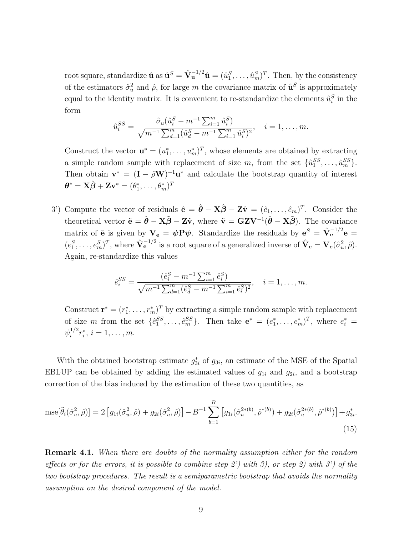root square, standardize  $\hat{\mathbf{u}}$  as  $\hat{\mathbf{u}}^S = \hat{\mathbf{V}}_u^{-1/2} \hat{\mathbf{u}} = (\hat{u}_1^S, \dots, \hat{u}_m^S)^T$ . Then, by the consistency of the estimators  $\hat{\sigma}_u^2$  and  $\hat{\rho}$ , for large m the covariance matrix of  $\hat{\mathbf{u}}^S$  is approximately equal to the identity matrix. It is convenient to re-standardize the elements  $\hat{u}_i^S$  in the form

$$
\hat{u}_i^{SS} = \frac{\hat{\sigma}_u(\hat{u}_i^S - m^{-1} \sum_{i=1}^m \hat{u}_i^S)}{\sqrt{m^{-1} \sum_{d=1}^m (\hat{u}_d^S - m^{-1} \sum_{i=1}^m \hat{u}_i^S)^2}}, \quad i = 1, \dots, m.
$$

Construct the vector  $\mathbf{u}^* = (u_1^*, \dots, u_m^*)^T$ , whose elements are obtained by extracting a simple random sample with replacement of size m, from the set  $\{\hat{u}_1^{SS}, \ldots, \hat{u}_m^{SS}\}.$ Then obtain  $\mathbf{v}^* = (\mathbf{I} - \hat{\rho}\mathbf{W})^{-1}\mathbf{u}^*$  and calculate the bootstrap quantity of interest  $\boldsymbol{\theta}^* = \mathbf{X}\hat{\boldsymbol{\beta}} + \mathbf{Z}\mathbf{v}^* = (\theta_1^*, \ldots, \theta_m^*)^T$ 

3') Compute the vector of residuals  $\hat{\mathbf{e}} = \hat{\boldsymbol{\theta}} - \mathbf{X}\hat{\boldsymbol{\beta}} - \mathbf{Z}\hat{\mathbf{v}} = (\hat{e}_1, \dots, \hat{e}_m)^T$ . Consider the theoretical vector  $\tilde{\mathbf{e}} = \hat{\boldsymbol{\theta}} - \mathbf{X}\tilde{\boldsymbol{\beta}} - \mathbf{Z}\tilde{\mathbf{v}}$ , where  $\tilde{\mathbf{v}} = \mathbf{GZV}^{-1}(\hat{\boldsymbol{\theta}} - \mathbf{X}\tilde{\boldsymbol{\beta}})$ . The covariance matrix of  $\tilde{\mathbf{e}}$  is given by  $\mathbf{V}_{\mathbf{e}} = \psi \mathbf{P} \psi$ . Standardize the residuals by  $\mathbf{e}^{S} = \hat{\mathbf{V}}_{\mathbf{e}}^{-1/2} \mathbf{e} =$  $(e_1^S,\ldots,e_m^S)^T$ , where  $\hat{\mathbf{V}}_e^{-1/2}$  is a root square of a generalized inverse of  $\hat{\mathbf{V}}_e = \mathbf{V}_e(\hat{\sigma}_u^2,\hat{\rho})$ . Again, re-standardize this values

$$
\hat{e}_i^{SS} = \frac{(\hat{e}_i^S - m^{-1} \sum_{i=1}^m \hat{e}_i^S)}{\sqrt{m^{-1} \sum_{d=1}^m (\hat{e}_d^S - m^{-1} \sum_{i=1}^m \hat{e}_i^S)^2}}, \quad i = 1, \dots, m.
$$

Construct  $\mathbf{r}^* = (r_1^*, \dots, r_m^*)^T$  by extracting a simple random sample with replacement of size m from the set  $\{\hat{e}_1^{SS}, \ldots, \hat{e}_m^{SS}\}$ . Then take  $\mathbf{e}^* = (e_1^*, \ldots, e_m^*)^T$ , where  $e_i^* =$  $\psi_i^{1/2}$  $i^{1/2}r_i^*, i=1,\ldots,m.$ 

With the obtained bootstrap estimate  $g_{3i}^*$  of  $g_{3i}$ , an estimate of the MSE of the Spatial EBLUP can be obtained by adding the estimated values of  $g_{1i}$  and  $g_{2i}$ , and a bootstrap correction of the bias induced by the estimation of these two quantities, as

$$
\text{mse}[\tilde{\theta}_i(\hat{\sigma}_u^2, \hat{\rho})] = 2 \left[ g_{1i}(\hat{\sigma}_u^2, \hat{\rho}) + g_{2i}(\hat{\sigma}_u^2, \hat{\rho}) \right] - B^{-1} \sum_{b=1}^B \left[ g_{1i}(\hat{\sigma}_u^{2*(b)}, \hat{\rho}^{*(b)}) + g_{2i}(\hat{\sigma}_u^{2*(b)}, \hat{\rho}^{*(b)}) \right] + g_{3i}^*.
$$
\n(15)

**Remark 4.1.** When there are doubts of the normality assumption either for the random effects or for the errors, it is possible to combine step 2') with 3), or step 2) with 3') of the two bootstrap procedures. The result is a semiparametric bootstrap that avoids the normality assumption on the desired component of the model.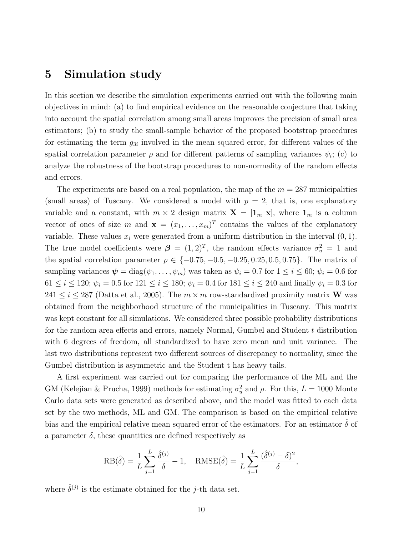# 5 Simulation study

In this section we describe the simulation experiments carried out with the following main objectives in mind: (a) to find empirical evidence on the reasonable conjecture that taking into account the spatial correlation among small areas improves the precision of small area estimators; (b) to study the small-sample behavior of the proposed bootstrap procedures for estimating the term  $g_{3i}$  involved in the mean squared error, for different values of the spatial correlation parameter  $\rho$  and for different patterns of sampling variances  $\psi_i$ ; (c) to analyze the robustness of the bootstrap procedures to non-normality of the random effects and errors.

The experiments are based on a real population, the map of the  $m = 287$  municipalities (small areas) of Tuscany. We considered a model with  $p = 2$ , that is, one explanatory variable and a constant, with  $m \times 2$  design matrix  $\mathbf{X} = [\mathbf{1}_m \mathbf{x}]$ , where  $\mathbf{1}_m$  is a column vector of ones of size m and  $\mathbf{x} = (x_1, \ldots, x_m)^T$  contains the values of the explanatory variable. These values  $x_i$  were generated from a uniform distribution in the interval  $(0, 1)$ . The true model coefficients were  $\boldsymbol{\beta} = (1, 2)^T$ , the random effects variance  $\sigma_u^2 = 1$  and the spatial correlation parameter  $\rho \in \{-0.75, -0.5, -0.25, 0.25, 0.5, 0.75\}$ . The matrix of sampling variances  $\psi = \text{diag}(\psi_1, \dots, \psi_m)$  was taken as  $\psi_i = 0.7$  for  $1 \leq i \leq 60$ ;  $\psi_i = 0.6$  for  $61 \le i \le 120$ ;  $\psi_i = 0.5$  for  $121 \le i \le 180$ ;  $\psi_i = 0.4$  for  $181 \le i \le 240$  and finally  $\psi_i = 0.3$  for  $241 \leq i \leq 287$  (Datta et al., 2005). The  $m \times m$  row-standardized proximity matrix **W** was obtained from the neighborhood structure of the municipalities in Tuscany. This matrix was kept constant for all simulations. We considered three possible probability distributions for the random area effects and errors, namely Normal, Gumbel and Student t distribution with 6 degrees of freedom, all standardized to have zero mean and unit variance. The last two distributions represent two different sources of discrepancy to normality, since the Gumbel distribution is asymmetric and the Student t has heavy tails.

A first experiment was carried out for comparing the performance of the ML and the GM (Kelejian & Prucha, 1999) methods for estimating  $\sigma_u^2$  and  $\rho$ . For this,  $L = 1000$  Monte Carlo data sets were generated as described above, and the model was fitted to each data set by the two methods, ML and GM. The comparison is based on the empirical relative bias and the empirical relative mean squared error of the estimators. For an estimator  $\hat{\delta}$  of a parameter  $\delta$ , these quantities are defined respectively as

$$
RB(\hat{\delta}) = \frac{1}{L} \sum_{j=1}^{L} \frac{\hat{\delta}^{(j)}}{\delta} - 1, \quad RMSE(\hat{\delta}) = \frac{1}{L} \sum_{j=1}^{L} \frac{(\hat{\delta}^{(j)} - \delta)^2}{\delta},
$$

where  $\hat{\delta}^{(j)}$  is the estimate obtained for the j-th data set.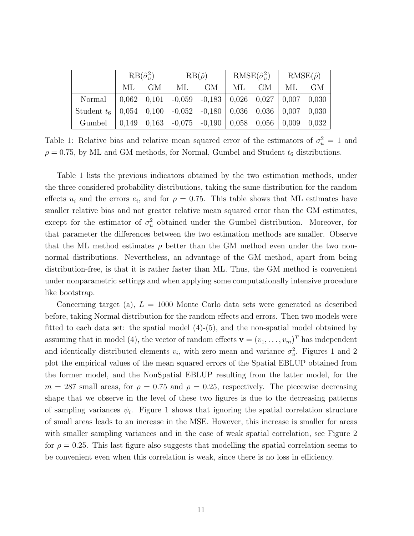|                                                                         | $RB(\hat{\sigma}_u^2)$ |       | $RB(\hat{\rho})$ |                                                                   | $RMSE(\hat{\sigma}_u^2)$ |       | $RMSE(\hat{\rho})$ |  |
|-------------------------------------------------------------------------|------------------------|-------|------------------|-------------------------------------------------------------------|--------------------------|-------|--------------------|--|
|                                                                         |                        | ML GM | ML               | GM                                                                |                          | ML GM | ML GM              |  |
| Normal                                                                  |                        |       |                  |                                                                   |                          |       |                    |  |
| Student $t_6$   0,054 0,100   -0,052 -0,180   0,036 0,036   0,007 0,030 |                        |       |                  |                                                                   |                          |       |                    |  |
| Gumbel                                                                  |                        |       |                  | $0.149$ $0.163$ $-0.075$ $-0.190$ $0.058$ $0.056$ $0.009$ $0.032$ |                          |       |                    |  |

Table 1: Relative bias and relative mean squared error of the estimators of  $\sigma_u^2 = 1$  and  $\rho = 0.75$ , by ML and GM methods, for Normal, Gumbel and Student  $t_6$  distributions.

Table 1 lists the previous indicators obtained by the two estimation methods, under the three considered probability distributions, taking the same distribution for the random effects  $u_i$  and the errors  $e_i$ , and for  $\rho = 0.75$ . This table shows that ML estimates have smaller relative bias and not greater relative mean squared error than the GM estimates, except for the estimator of  $\sigma_u^2$  obtained under the Gumbel distribution. Moreover, for that parameter the differences between the two estimation methods are smaller. Observe that the ML method estimates  $\rho$  better than the GM method even under the two nonnormal distributions. Nevertheless, an advantage of the GM method, apart from being distribution-free, is that it is rather faster than ML. Thus, the GM method is convenient under nonparametric settings and when applying some computationally intensive procedure like bootstrap.

Concerning target (a),  $L = 1000$  Monte Carlo data sets were generated as described before, taking Normal distribution for the random effects and errors. Then two models were fitted to each data set: the spatial model (4)-(5), and the non-spatial model obtained by assuming that in model (4), the vector of random effects  $\mathbf{v} = (v_1, \dots, v_m)^T$  has independent and identically distributed elements  $v_i$ , with zero mean and variance  $\sigma_u^2$ . Figures 1 and 2 plot the empirical values of the mean squared errors of the Spatial EBLUP obtained from the former model, and the NonSpatial EBLUP resulting from the latter model, for the  $m = 287$  small areas, for  $\rho = 0.75$  and  $\rho = 0.25$ , respectively. The piecewise decreasing shape that we observe in the level of these two figures is due to the decreasing patterns of sampling variances  $\psi_i$ . Figure 1 shows that ignoring the spatial correlation structure of small areas leads to an increase in the MSE. However, this increase is smaller for areas with smaller sampling variances and in the case of weak spatial correlation, see Figure 2 for  $\rho = 0.25$ . This last figure also suggests that modelling the spatial correlation seems to be convenient even when this correlation is weak, since there is no loss in efficiency.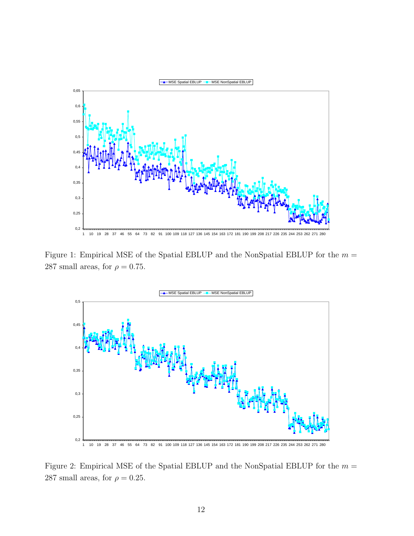

Figure 1: Empirical MSE of the Spatial EBLUP and the NonSpatial EBLUP for the  $m =$ 287 small areas, for  $\rho = 0.75$ .



Figure 2: Empirical MSE of the Spatial EBLUP and the NonSpatial EBLUP for the  $m =$ 287 small areas, for  $\rho = 0.25$ .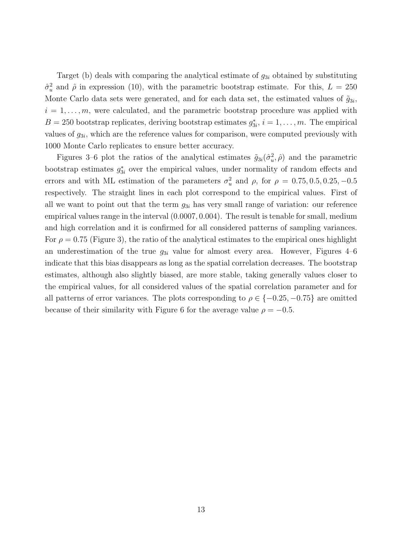Target (b) deals with comparing the analytical estimate of  $g_{3i}$  obtained by substituting  $\hat{\sigma}_u^2$  and  $\hat{\rho}$  in expression (10), with the parametric bootstrap estimate. For this,  $L = 250$ Monte Carlo data sets were generated, and for each data set, the estimated values of  $\tilde{g}_{3i}$ ,  $i = 1, \ldots, m$ , were calculated, and the parametric bootstrap procedure was applied with  $B = 250$  bootstrap replicates, deriving bootstrap estimates  $g_{3i}^*, i = 1, \ldots, m$ . The empirical values of  $g_{3i}$ , which are the reference values for comparison, were computed previously with 1000 Monte Carlo replicates to ensure better accuracy.

Figures 3–6 plot the ratios of the analytical estimates  $\tilde{g}_{3i}(\hat{\sigma}_u^2, \hat{\rho})$  and the parametric bootstrap estimates  $g_{3i}^*$  over the empirical values, under normality of random effects and errors and with ML estimation of the parameters  $\sigma_u^2$  and  $\rho$ , for  $\rho = 0.75, 0.5, 0.25, -0.5$ respectively. The straight lines in each plot correspond to the empirical values. First of all we want to point out that the term  $g_{3i}$  has very small range of variation: our reference empirical values range in the interval (0.0007, 0.004). The result is tenable for small, medium and high correlation and it is confirmed for all considered patterns of sampling variances. For  $\rho = 0.75$  (Figure 3), the ratio of the analytical estimates to the empirical ones highlight an underestimation of the true  $g_{3i}$  value for almost every area. However, Figures 4–6 indicate that this bias disappears as long as the spatial correlation decreases. The bootstrap estimates, although also slightly biased, are more stable, taking generally values closer to the empirical values, for all considered values of the spatial correlation parameter and for all patterns of error variances. The plots corresponding to  $\rho \in \{-0.25, -0.75\}$  are omitted because of their similarity with Figure 6 for the average value  $\rho = -0.5$ .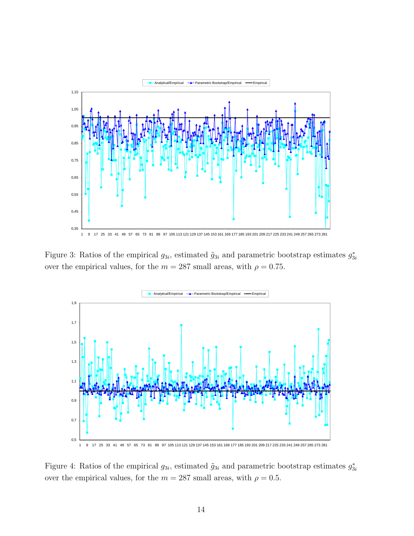

Figure 3: Ratios of the empirical  $g_{3i}$ , estimated  $\tilde{g}_{3i}$  and parametric bootstrap estimates  $g_{3i}^*$ over the empirical values, for the  $m = 287$  small areas, with  $\rho = 0.75$ .



Figure 4: Ratios of the empirical  $g_{3i}$ , estimated  $\tilde{g}_{3i}$  and parametric bootstrap estimates  $g_{3i}^*$ over the empirical values, for the  $m = 287$  small areas, with  $\rho = 0.5$ .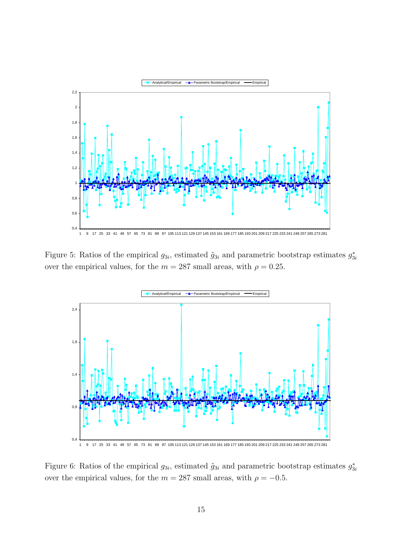

Figure 5: Ratios of the empirical  $g_{3i}$ , estimated  $\tilde{g}_{3i}$  and parametric bootstrap estimates  $g_{3i}^*$ over the empirical values, for the  $m = 287$  small areas, with  $\rho = 0.25$ .



Figure 6: Ratios of the empirical  $g_{3i}$ , estimated  $\tilde{g}_{3i}$  and parametric bootstrap estimates  $g_{3i}^*$ over the empirical values, for the  $m=287$  small areas, with  $\rho=-0.5.$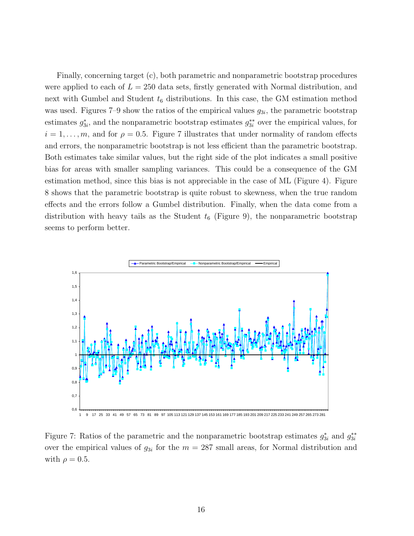Finally, concerning target (c), both parametric and nonparametric bootstrap procedures were applied to each of  $L = 250$  data sets, firstly generated with Normal distribution, and next with Gumbel and Student  $t_6$  distributions. In this case, the GM estimation method was used. Figures  $7-9$  show the ratios of the empirical values  $g_{3i}$ , the parametric bootstrap estimates  $g_{3i}^*$ , and the nonparametric bootstrap estimates  $g_{3i}^{**}$  over the empirical values, for  $i = 1, \ldots, m$ , and for  $\rho = 0.5$ . Figure 7 illustrates that under normality of random effects and errors, the nonparametric bootstrap is not less efficient than the parametric bootstrap. Both estimates take similar values, but the right side of the plot indicates a small positive bias for areas with smaller sampling variances. This could be a consequence of the GM estimation method, since this bias is not appreciable in the case of ML (Figure 4). Figure 8 shows that the parametric bootstrap is quite robust to skewness, when the true random effects and the errors follow a Gumbel distribution. Finally, when the data come from a distribution with heavy tails as the Student  $t_6$  (Figure 9), the nonparametric bootstrap seems to perform better.



Figure 7: Ratios of the parametric and the nonparametric bootstrap estimates  $g_{3i}^*$  and  $g_{3i}^{**}$ over the empirical values of  $g_{3i}$  for the  $m = 287$  small areas, for Normal distribution and with  $\rho = 0.5$ .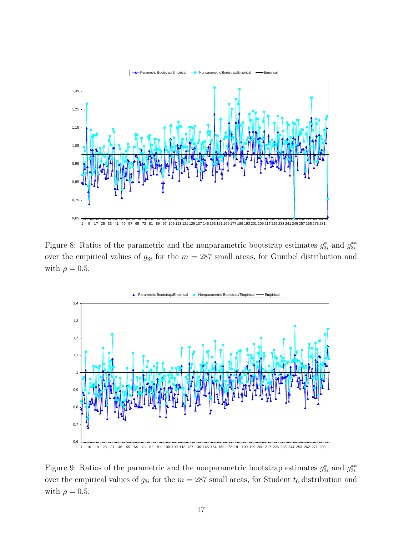

1 9 17 25 33 41 49 57 65 73 81 89 97 105 113 121 129 137 145 153 161 169 177 185 193 201 209 217 225 233 241 249 257 265 273 281

Figure 8: Ratios of the parametric and the nonparametric bootstrap estimates  $g_{3i}^*$  and  $g_{3i}^{**}$ over the empirical values of  $g_{3i}$  for the  $m = 287$  small areas, for Gumbel distribution and with  $\rho = 0.5$ .



Figure 9: Ratios of the parametric and the nonparametric bootstrap estimates  $g_{3i}^*$  and  $g_{3i}^{**}$ over the empirical values of  $g_{3i}$  for the  $m = 287$  small areas, for Student  $t_6$  distribution and with  $\rho = 0.5$ .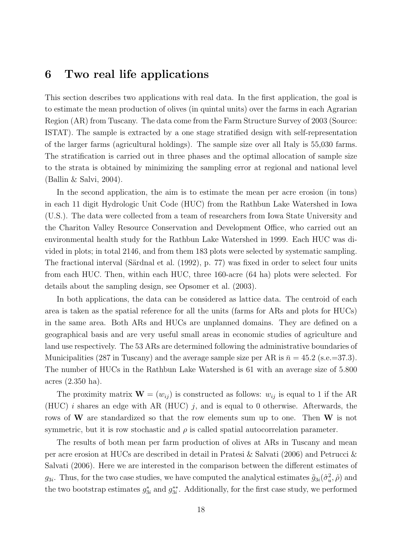## 6 Two real life applications

This section describes two applications with real data. In the first application, the goal is to estimate the mean production of olives (in quintal units) over the farms in each Agrarian Region (AR) from Tuscany. The data come from the Farm Structure Survey of 2003 (Source: ISTAT). The sample is extracted by a one stage stratified design with self-representation of the larger farms (agricultural holdings). The sample size over all Italy is 55,030 farms. The stratification is carried out in three phases and the optimal allocation of sample size to the strata is obtained by minimizing the sampling error at regional and national level (Ballin & Salvi, 2004).

In the second application, the aim is to estimate the mean per acre erosion (in tons) in each 11 digit Hydrologic Unit Code (HUC) from the Rathbun Lake Watershed in Iowa (U.S.). The data were collected from a team of researchers from Iowa State University and the Chariton Valley Resource Conservation and Development Office, who carried out an environmental health study for the Rathbun Lake Watershed in 1999. Each HUC was divided in plots; in total 2146, and from them 183 plots were selected by systematic sampling. The fractional interval (Särdnal et al. (1992), p. 77) was fixed in order to select four units from each HUC. Then, within each HUC, three 160-acre (64 ha) plots were selected. For details about the sampling design, see Opsomer et al. (2003).

In both applications, the data can be considered as lattice data. The centroid of each area is taken as the spatial reference for all the units (farms for ARs and plots for HUCs) in the same area. Both ARs and HUCs are unplanned domains. They are defined on a geographical basis and are very useful small areas in economic studies of agriculture and land use respectively. The 53 ARs are determined following the administrative boundaries of Municipalities (287 in Tuscany) and the average sample size per AR is  $\bar{n} = 45.2$  (s.e. = 37.3). The number of HUCs in the Rathbun Lake Watershed is 61 with an average size of 5.800 acres (2.350 ha).

The proximity matrix  $\mathbf{W} = (w_{ij})$  is constructed as follows:  $w_{ij}$  is equal to 1 if the AR (HUC)  $i$  shares an edge with AR (HUC)  $j$ , and is equal to 0 otherwise. Afterwards, the rows of W are standardized so that the row elements sum up to one. Then W is not symmetric, but it is row stochastic and  $\rho$  is called spatial autocorrelation parameter.

The results of both mean per farm production of olives at ARs in Tuscany and mean per acre erosion at HUCs are described in detail in Pratesi & Salvati (2006) and Petrucci & Salvati (2006). Here we are interested in the comparison between the different estimates of  $g_{3i}$ . Thus, for the two case studies, we have computed the analytical estimates  $\tilde{g}_{3i}(\hat{\sigma}_u^2, \hat{\rho})$  and the two bootstrap estimates  $g_{3i}^*$  and  $g_{3i}^{**}$ . Additionally, for the first case study, we performed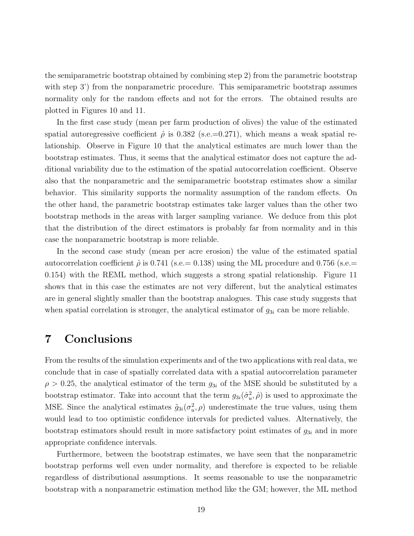the semiparametric bootstrap obtained by combining step 2) from the parametric bootstrap with step 3') from the nonparametric procedure. This semiparametric bootstrap assumes normality only for the random effects and not for the errors. The obtained results are plotted in Figures 10 and 11.

In the first case study (mean per farm production of olives) the value of the estimated spatial autoregressive coefficient  $\hat{\rho}$  is 0.382 (s.e.=0.271), which means a weak spatial relationship. Observe in Figure 10 that the analytical estimates are much lower than the bootstrap estimates. Thus, it seems that the analytical estimator does not capture the additional variability due to the estimation of the spatial autocorrelation coefficient. Observe also that the nonparametric and the semiparametric bootstrap estimates show a similar behavior. This similarity supports the normality assumption of the random effects. On the other hand, the parametric bootstrap estimates take larger values than the other two bootstrap methods in the areas with larger sampling variance. We deduce from this plot that the distribution of the direct estimators is probably far from normality and in this case the nonparametric bootstrap is more reliable.

In the second case study (mean per acre erosion) the value of the estimated spatial autocorrelation coefficient  $\hat{\rho}$  is 0.741 (s.e. = 0.138) using the ML procedure and 0.756 (s.e. = 0.154) with the REML method, which suggests a strong spatial relationship. Figure 11 shows that in this case the estimates are not very different, but the analytical estimates are in general slightly smaller than the bootstrap analogues. This case study suggests that when spatial correlation is stronger, the analytical estimator of  $g_{3i}$  can be more reliable.

## 7 Conclusions

From the results of the simulation experiments and of the two applications with real data, we conclude that in case of spatially correlated data with a spatial autocorrelation parameter  $\rho > 0.25$ , the analytical estimator of the term  $g_{3i}$  of the MSE should be substituted by a bootstrap estimator. Take into account that the term  $g_{3i}(\hat{\sigma}_u^2, \hat{\rho})$  is used to approximate the MSE. Since the analytical estimates  $\tilde{g}_{3i}(\sigma_u^2, \rho)$  underestimate the true values, using them would lead to too optimistic confidence intervals for predicted values. Alternatively, the bootstrap estimators should result in more satisfactory point estimates of  $g_{3i}$  and in more appropriate confidence intervals.

Furthermore, between the bootstrap estimates, we have seen that the nonparametric bootstrap performs well even under normality, and therefore is expected to be reliable regardless of distributional assumptions. It seems reasonable to use the nonparametric bootstrap with a nonparametric estimation method like the GM; however, the ML method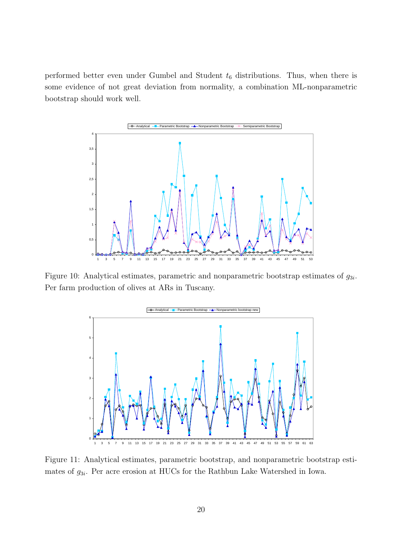performed better even under Gumbel and Student  $t_6$  distributions. Thus, when there is some evidence of not great deviation from normality, a combination ML-nonparametric bootstrap should work well.



Figure 10: Analytical estimates, parametric and nonparametric bootstrap estimates of  $g_{3i}$ . Per farm production of olives at ARs in Tuscany.



Figure 11: Analytical estimates, parametric bootstrap, and nonparametric bootstrap estimates of  $g_{3i}$ . Per acre erosion at HUCs for the Rathbun Lake Watershed in Iowa.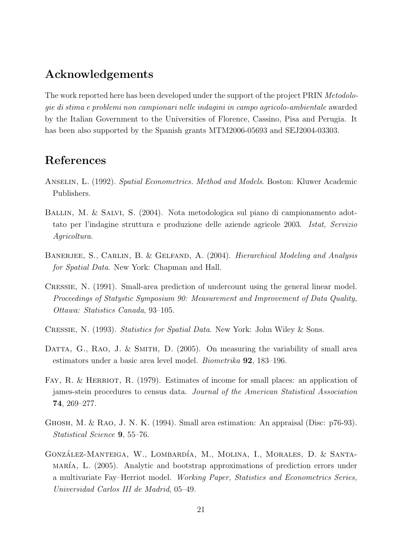# Acknowledgements

The work reported here has been developed under the support of the project PRIN Metodologie di stima e problemi non campionari nelle indagini in campo agricolo-ambientale awarded by the Italian Government to the Universities of Florence, Cassino, Pisa and Perugia. It has been also supported by the Spanish grants MTM2006-05693 and SEJ2004-03303.

# References

- Anselin, L. (1992). Spatial Econometrics. Method and Models. Boston: Kluwer Academic Publishers.
- Ballin, M. & Salvi, S. (2004). Nota metodologica sul piano di campionamento adottato per l'indagine struttura e produzione delle aziende agricole 2003. Istat, Servizio Agricoltura.
- BANERJEE, S., CARLIN, B. & GELFAND, A. (2004). *Hierarchical Modeling and Analysis* for Spatial Data. New York: Chapman and Hall.
- Cressie, N. (1991). Small-area prediction of undercount using the general linear model. Proceedings of Statystic Symposium 90: Measurement and Improvement of Data Quality, Ottawa: Statistics Canada, 93–105.
- Cressie, N. (1993). Statistics for Spatial Data. New York: John Wiley & Sons.
- DATTA,  $G_{\cdot}$ , RAO, J. & SMITH, D. (2005). On measuring the variability of small area estimators under a basic area level model. Biometrika 92, 183–196.
- FAY, R. & HERRIOT, R. (1979). Estimates of income for small places: an application of james-stein procedures to census data. Journal of the American Statistical Association 74, 269–277.
- Ghosh, M. & Rao, J. N. K. (1994). Small area estimation: An appraisal (Disc: p76-93). Statistical Science 9, 55–76.
- GONZÁLEZ-MANTEIGA, W., LOMBARDÍA, M., MOLINA, I., MORALES, D. & SANTA- $MARIA$ , L. (2005). Analytic and bootstrap approximations of prediction errors under a multivariate Fay–Herriot model. Working Paper, Statistics and Econometrics Series, Universidad Carlos III de Madrid, 05–49.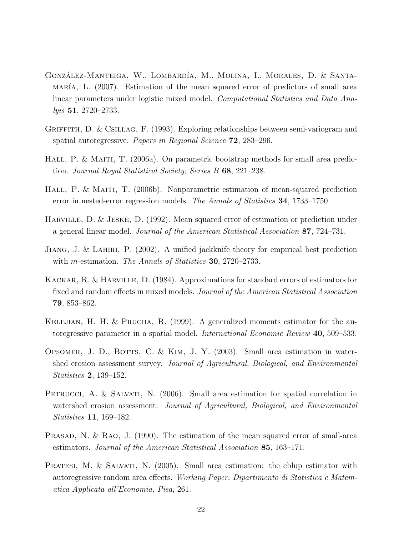- GONZÁLEZ-MANTEIGA, W., LOMBARDÍA, M., MOLINA, I., MORALES, D. & SANTA- $MARIA$ , L. (2007). Estimation of the mean squared error of predictors of small area linear parameters under logistic mixed model. Computational Statistics and Data Analyis 51, 2720–2733.
- GRIFFITH, D. & CSILLAG, F. (1993). Exploring relationships between semi-variogram and spatial autoregressive. Papers in Regional Science 72, 283–296.
- HALL, P. & MAITI, T. (2006a). On parametric bootstrap methods for small area prediction. Journal Royal Statistical Society, Series B 68, 221–238.
- HALL, P. & MAITI, T. (2006b). Nonparametric estimation of mean-squared prediction error in nested-error regression models. The Annals of Statistics 34, 1733–1750.
- Harville, D. & Jeske, D. (1992). Mean squared error of estimation or prediction under a general linear model. Journal of the American Statistical Association 87, 724–731.
- Jiang, J. & Lahiri, P. (2002). A unified jackknife theory for empirical best prediction with *m*-estimation. *The Annals of Statistics* **30**, 2720–2733.
- Kackar, R. & Harville, D. (1984). Approximations for standard errors of estimators for fixed and random effects in mixed models. Journal of the American Statistical Association 79, 853–862.
- KELEJIAN, H. H. & PRUCHA, R. (1999). A generalized moments estimator for the autoregressive parameter in a spatial model. International Economic Review 40, 509–533.
- OPSOMER, J. D., BOTTS, C. & KIM, J. Y.  $(2003)$ . Small area estimation in watershed erosion assessment survey. Journal of Agricultural, Biological, and Environmental Statistics 2, 139–152.
- PETRUCCI, A. & SALVATI, N. (2006). Small area estimation for spatial correlation in watershed erosion assessment. Journal of Agricultural, Biological, and Environmental Statistics 11, 169–182.
- PRASAD, N. & RAO, J. (1990). The estimation of the mean squared error of small-area estimators. Journal of the American Statistical Association 85, 163–171.
- PRATESI, M. & SALVATI, N. (2005). Small area estimation: the eblup estimator with autoregressive random area effects. Working Paper, Dipartimento di Statistica e Matematica Applicata all'Economia, Pisa, 261.